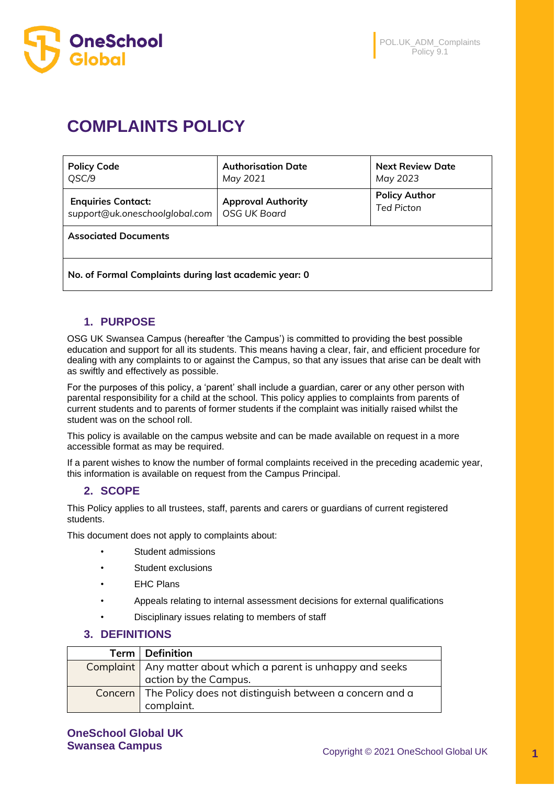

# **COMPLAINTS POLICY**

| <b>Policy Code</b>             | <b>Authorisation Date</b> | <b>Next Review Date</b> |
|--------------------------------|---------------------------|-------------------------|
| QSC/9                          | May 2021                  | May 2023                |
| <b>Enquiries Contact:</b>      | <b>Approval Authority</b> | <b>Policy Author</b>    |
| support@uk.oneschoolglobal.com | OSG UK Board              | <b>Ted Picton</b>       |
| <b>Associated Documents</b>    |                           |                         |

**No. of Formal Complaints during last academic year: 0**

## **1. PURPOSE**

OSG UK Swansea Campus (hereafter 'the Campus') is committed to providing the best possible education and support for all its students. This means having a clear, fair, and efficient procedure for dealing with any complaints to or against the Campus, so that any issues that arise can be dealt with as swiftly and effectively as possible.

For the purposes of this policy, a 'parent' shall include a guardian, carer or any other person with parental responsibility for a child at the school. This policy applies to complaints from parents of current students and to parents of former students if the complaint was initially raised whilst the student was on the school roll.

This policy is available on the campus website and can be made available on request in a more accessible format as may be required.

If a parent wishes to know the number of formal complaints received in the preceding academic year, this information is available on request from the Campus Principal.

## **2. SCOPE**

This Policy applies to all trustees, staff, parents and carers or guardians of current registered students.

This document does not apply to complaints about:

- Student admissions
- Student exclusions
- **EHC Plans**
- Appeals relating to internal assessment decisions for external qualifications
- Disciplinary issues relating to members of staff

## **3. DEFINITIONS**

| Term   Definition                                                 |
|-------------------------------------------------------------------|
| Complaint   Any matter about which a parent is unhappy and seeks  |
| action by the Campus.                                             |
| Concern   The Policy does not distinguish between a concern and a |
| complaint.                                                        |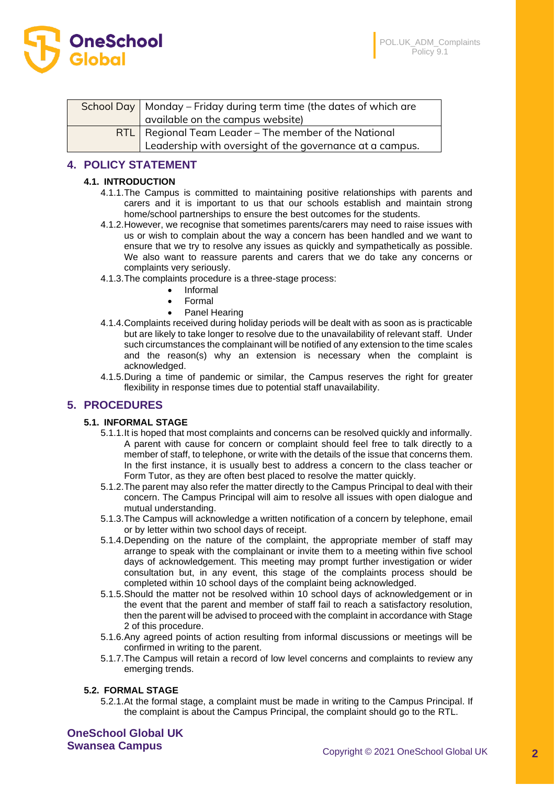

| School Day   Monday - Friday during term time (the dates of which are |
|-----------------------------------------------------------------------|
| available on the campus website)                                      |
| $RTL$ Regional Team Leader – The member of the National               |
| Leadership with oversight of the governance at a campus.              |

# **4. POLICY STATEMENT**

## **4.1. INTRODUCTION**

- 4.1.1.The Campus is committed to maintaining positive relationships with parents and carers and it is important to us that our schools establish and maintain strong home/school partnerships to ensure the best outcomes for the students.
- 4.1.2.However, we recognise that sometimes parents/carers may need to raise issues with us or wish to complain about the way a concern has been handled and we want to ensure that we try to resolve any issues as quickly and sympathetically as possible. We also want to reassure parents and carers that we do take any concerns or complaints very seriously.
- 4.1.3.The complaints procedure is a three-stage process:
	- Informal
		- Formal
	- Panel Hearing
- 4.1.4.Complaints received during holiday periods will be dealt with as soon as is practicable but are likely to take longer to resolve due to the unavailability of relevant staff. Under such circumstances the complainant will be notified of any extension to the time scales and the reason(s) why an extension is necessary when the complaint is acknowledged.
- 4.1.5.During a time of pandemic or similar, the Campus reserves the right for greater flexibility in response times due to potential staff unavailability.

## **5. PROCEDURES**

### **5.1. INFORMAL STAGE**

- 5.1.1.It is hoped that most complaints and concerns can be resolved quickly and informally. A parent with cause for concern or complaint should feel free to talk directly to a member of staff, to telephone, or write with the details of the issue that concerns them. In the first instance, it is usually best to address a concern to the class teacher or Form Tutor, as they are often best placed to resolve the matter quickly.
- 5.1.2.The parent may also refer the matter directly to the Campus Principal to deal with their concern. The Campus Principal will aim to resolve all issues with open dialogue and mutual understanding.
- 5.1.3.The Campus will acknowledge a written notification of a concern by telephone, email or by letter within two school days of receipt.
- 5.1.4.Depending on the nature of the complaint, the appropriate member of staff may arrange to speak with the complainant or invite them to a meeting within five school days of acknowledgement. This meeting may prompt further investigation or wider consultation but, in any event, this stage of the complaints process should be completed within 10 school days of the complaint being acknowledged.
- 5.1.5.Should the matter not be resolved within 10 school days of acknowledgement or in the event that the parent and member of staff fail to reach a satisfactory resolution, then the parent will be advised to proceed with the complaint in accordance with Stage 2 of this procedure.
- 5.1.6.Any agreed points of action resulting from informal discussions or meetings will be confirmed in writing to the parent.
- 5.1.7.The Campus will retain a record of low level concerns and complaints to review any emerging trends.

### **5.2. FORMAL STAGE**

5.2.1.At the formal stage, a complaint must be made in writing to the Campus Principal. If the complaint is about the Campus Principal, the complaint should go to the RTL.

**OneSchool Global UK**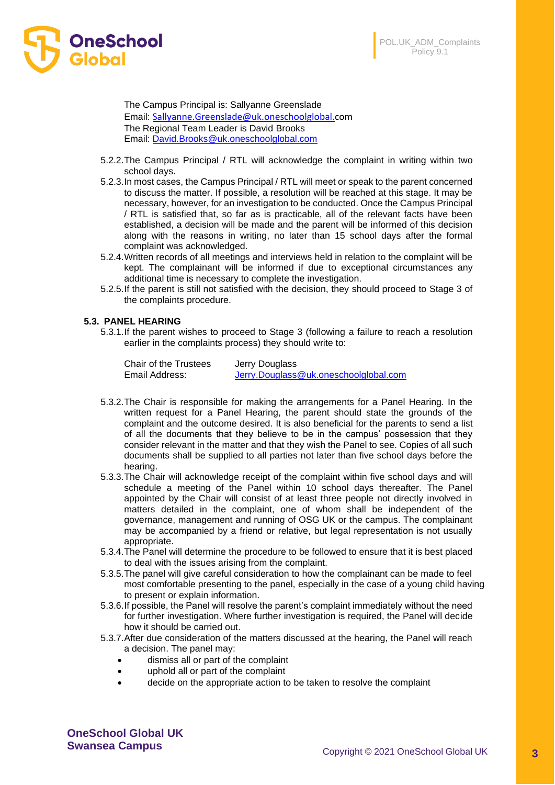

The Campus Principal is: Sallyanne Greenslade Email: [Sallyanne.Greenslade@uk.oneschoolglobal.c](mailto:Sallyanne.Greenslade@uk.oneschoolglobal.)om The Regional Team Leader is David Brooks Email: [David.Brooks@uk.oneschoolglobal.com](mailto:David.Brooks@uk.oneschoolglobal.com)

- 5.2.2.The Campus Principal / RTL will acknowledge the complaint in writing within two school days.
- 5.2.3.In most cases, the Campus Principal / RTL will meet or speak to the parent concerned to discuss the matter. If possible, a resolution will be reached at this stage. It may be necessary, however, for an investigation to be conducted. Once the Campus Principal / RTL is satisfied that, so far as is practicable, all of the relevant facts have been established, a decision will be made and the parent will be informed of this decision along with the reasons in writing, no later than 15 school days after the formal complaint was acknowledged.
- 5.2.4.Written records of all meetings and interviews held in relation to the complaint will be kept. The complainant will be informed if due to exceptional circumstances any additional time is necessary to complete the investigation.
- 5.2.5.If the parent is still not satisfied with the decision, they should proceed to Stage 3 of the complaints procedure.

#### **5.3. PANEL HEARING**

5.3.1.If the parent wishes to proceed to Stage 3 (following a failure to reach a resolution earlier in the complaints process) they should write to:

| Chair of the Trustees | Jerry Douglass                        |
|-----------------------|---------------------------------------|
| Email Address:        | Jerry.Douglass@uk.oneschoolglobal.com |

- 5.3.2.The Chair is responsible for making the arrangements for a Panel Hearing. In the written request for a Panel Hearing, the parent should state the grounds of the complaint and the outcome desired. It is also beneficial for the parents to send a list of all the documents that they believe to be in the campus' possession that they consider relevant in the matter and that they wish the Panel to see. Copies of all such documents shall be supplied to all parties not later than five school days before the hearing.
- 5.3.3.The Chair will acknowledge receipt of the complaint within five school days and will schedule a meeting of the Panel within 10 school days thereafter. The Panel appointed by the Chair will consist of at least three people not directly involved in matters detailed in the complaint, one of whom shall be independent of the governance, management and running of OSG UK or the campus. The complainant may be accompanied by a friend or relative, but legal representation is not usually appropriate.
- 5.3.4.The Panel will determine the procedure to be followed to ensure that it is best placed to deal with the issues arising from the complaint.
- 5.3.5.The panel will give careful consideration to how the complainant can be made to feel most comfortable presenting to the panel, especially in the case of a young child having to present or explain information.
- 5.3.6.If possible, the Panel will resolve the parent's complaint immediately without the need for further investigation. Where further investigation is required, the Panel will decide how it should be carried out.
- 5.3.7.After due consideration of the matters discussed at the hearing, the Panel will reach a decision. The panel may:
	- dismiss all or part of the complaint
	- uphold all or part of the complaint
	- decide on the appropriate action to be taken to resolve the complaint

**OneSchool Global UK**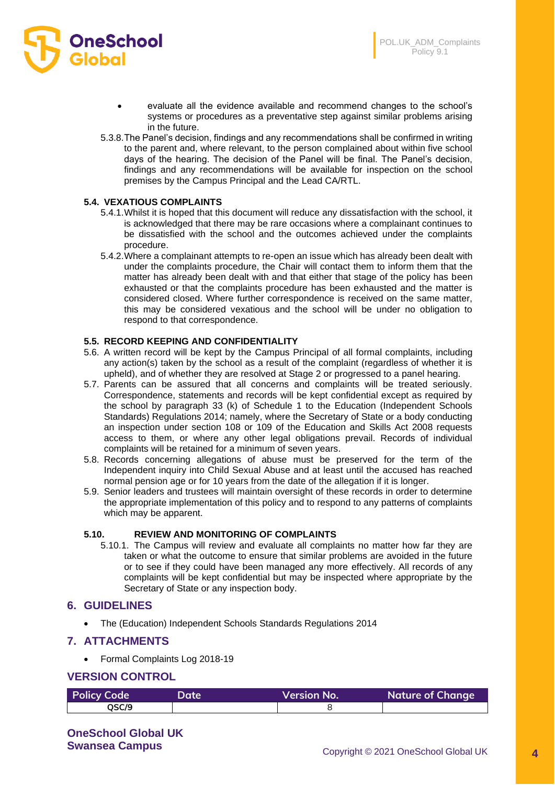

- evaluate all the evidence available and recommend changes to the school's systems or procedures as a preventative step against similar problems arising in the future.
- 5.3.8.The Panel's decision, findings and any recommendations shall be confirmed in writing to the parent and, where relevant, to the person complained about within five school days of the hearing. The decision of the Panel will be final. The Panel's decision, findings and any recommendations will be available for inspection on the school premises by the Campus Principal and the Lead CA/RTL.

### **5.4. VEXATIOUS COMPLAINTS**

- 5.4.1.Whilst it is hoped that this document will reduce any dissatisfaction with the school, it is acknowledged that there may be rare occasions where a complainant continues to be dissatisfied with the school and the outcomes achieved under the complaints procedure.
- 5.4.2.Where a complainant attempts to re-open an issue which has already been dealt with under the complaints procedure, the Chair will contact them to inform them that the matter has already been dealt with and that either that stage of the policy has been exhausted or that the complaints procedure has been exhausted and the matter is considered closed. Where further correspondence is received on the same matter, this may be considered vexatious and the school will be under no obligation to respond to that correspondence.

#### **5.5. RECORD KEEPING AND CONFIDENTIALITY**

- 5.6. A written record will be kept by the Campus Principal of all formal complaints, including any action(s) taken by the school as a result of the complaint (regardless of whether it is upheld), and of whether they are resolved at Stage 2 or progressed to a panel hearing.
- 5.7. Parents can be assured that all concerns and complaints will be treated seriously. Correspondence, statements and records will be kept confidential except as required by the school by paragraph 33 (k) of Schedule 1 to the Education (Independent Schools Standards) Regulations 2014; namely, where the Secretary of State or a body conducting an inspection under section 108 or 109 of the Education and Skills Act 2008 requests access to them, or where any other legal obligations prevail. Records of individual complaints will be retained for a minimum of seven years.
- 5.8. Records concerning allegations of abuse must be preserved for the term of the Independent inquiry into Child Sexual Abuse and at least until the accused has reached normal pension age or for 10 years from the date of the allegation if it is longer.
- 5.9. Senior leaders and trustees will maintain oversight of these records in order to determine the appropriate implementation of this policy and to respond to any patterns of complaints which may be apparent.

#### **5.10. REVIEW AND MONITORING OF COMPLAINTS**

5.10.1. The Campus will review and evaluate all complaints no matter how far they are taken or what the outcome to ensure that similar problems are avoided in the future or to see if they could have been managed any more effectively. All records of any complaints will be kept confidential but may be inspected where appropriate by the Secretary of State or any inspection body.

### **6. GUIDELINES**

• The (Education) Independent Schools Standards Regulations 2014

### **7. ATTACHMENTS**

• Formal Complaints Log 2018-19

## **VERSION CONTROL**

| <b>Policy Code</b> | Date' | <b>Version No.</b> | <b>Nature of Change</b> |
|--------------------|-------|--------------------|-------------------------|
| OSC/9              |       |                    |                         |